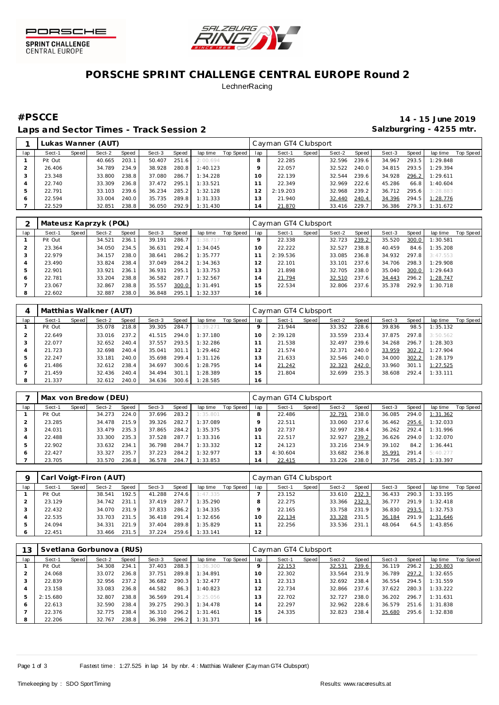



## **PORSCHE SPRINT CHALLENGE CENTRAL EUROPE Round 2 LechnerRacing**

Laps and Sector Times - Track Session 2 **Salzburgring - 4255 mtr.** Calzburgring - 4255 mtr.

**#PSCCE 14 - 15 June 2019**

|     |         |       | Lukas Wanner (AUT) |       |        |       |          |           |                | Cayman GT4 Clubsport |       |        |       |        |       |          |           |
|-----|---------|-------|--------------------|-------|--------|-------|----------|-----------|----------------|----------------------|-------|--------|-------|--------|-------|----------|-----------|
| lap | Sect-1  | Speed | Sect-2             | Speed | Sect-3 | Speed | lap time | Top Speed | lap            | Sect-1               | Speed | Sect-2 | Speed | Sect-3 | Speed | lap time | Top Speed |
|     | Pit Out |       | 40.665             | 203.1 | 50.407 | 251.6 | 2:00.694 |           |                | 22.285               |       | 32.596 | 239.6 | 34.967 | 293.5 | 1:29.848 |           |
|     | 26.406  |       | 34.789             | 234.9 | 38.928 | 280.8 | 1:40.123 |           |                | 22.057               |       | 32.522 | 240.0 | 34.815 | 293.5 | 1:29.394 |           |
|     | 23.348  |       | 33.800             | 238.8 | 37.080 | 286.7 | 1:34.228 |           | 10.            | 22.139               |       | 32.544 | 239.6 | 34.928 | 296.2 | 1:29.611 |           |
|     | 22.740  |       | 33.309             | 236.8 | 37.472 | 295.1 | 1:33.521 |           |                | 22.349               |       | 32.969 | 222.6 | 45.286 | 66.8  | 1:40.604 |           |
| 5   | 22.791  |       | 33.103             | 239.6 | 36.234 | 285.2 | 1:32.128 |           |                | 2:19.203             |       | 32.968 | 239.2 | 36.712 | 295.6 | 3:28.883 |           |
| 6   | 22.594  |       | 33.004             | 240.0 | 35.735 | 289.8 | 1:31.333 |           | 3              | 21.940               |       | 32.440 | 240.4 | 34.396 | 294.5 | 1:28.776 |           |
|     | 22.529  |       | 32.851             | 238.8 | 36.050 | 292.9 | 1:31.430 |           | $\overline{4}$ | 21.870               |       | 33.416 | 229.7 | 36.386 | 279.3 | 1:31.672 |           |

|     |         |       | Mateusz Kaprzyk (POL) |       |        |       |          |           |     | Cayman GT4 Clubsport |       |        |       |        |       |          |           |
|-----|---------|-------|-----------------------|-------|--------|-------|----------|-----------|-----|----------------------|-------|--------|-------|--------|-------|----------|-----------|
| lap | Sect-1  | Speed | Sect-2                | Speed | Sect-3 | Speed | lap time | Top Speed | lap | Sect-1               | Speed | Sect-2 | Speed | Sect-3 | Speed | lap time | Top Speed |
|     | Pit Out |       | 34.521                | 236.1 | 39.191 | 286.7 | 1:38.717 |           |     | 22.338               |       | 32.723 | 239.2 | 35.520 | 300.0 | 1:30.581 |           |
|     | 23.364  |       | 34.050                | 234.5 | 36.631 | 292.4 | 1:34.045 |           | 10  | 22.222               |       | 32.527 | 238.8 | 40.459 | 84.6  | 1:35.208 |           |
|     | 22.979  |       | 34.157                | 238.0 | 38.641 | 286.2 | 1:35.777 |           |     | 2:39.536             |       | 33.085 | 236.8 | 34.932 | 297.8 | 3:47.553 |           |
| 4   | 23.490  |       | 33.824                | 238.4 | 37.049 | 284.2 | 1:34.363 |           |     | 22.101               |       | 33.101 | 237.6 | 34.706 | 298.3 | 1:29.908 |           |
| b.  | 22.901  |       | 33.921                | 236.1 | 36.931 | 295.1 | 1:33.753 |           | 1.3 | 21.898               |       | 32.705 | 238.0 | 35.040 | 300.0 | 1:29.643 |           |
| 6   | 22.781  |       | 33.204                | 238.8 | 36.582 | 287.7 | 1:32.567 |           | 14  | 21.794               |       | 32.510 | 237.6 | 34.443 | 296.2 | 1:28.747 |           |
|     | 23.067  |       | 32.867                | 238.8 | 35.557 | 300.0 | 1:31.491 |           | 15  | 22.534               |       | 32.806 | 237.6 | 35.378 | 292.9 | 1:30.718 |           |
| 8   | 22.602  |       | 32.887                | 238.0 | 36.848 | 295.1 | 1:32.337 |           | 16  |                      |       |        |       |        |       |          |           |

| $\overline{A}$ |         |       | Matthias Walkner (AUT) |       |        |       |          |           |     | Cayman GT4 Clubsport |       |        |         |        |       |           |           |
|----------------|---------|-------|------------------------|-------|--------|-------|----------|-----------|-----|----------------------|-------|--------|---------|--------|-------|-----------|-----------|
| lap            | Sect-1  | Speed | Sect-2                 | Speed | Sect-3 | Speed | lap time | Top Speed | lap | Sect-1               | Speed | Sect-2 | Speed ' | Sect-3 | Speed | lap time  | Top Speed |
|                | Pit Out |       | 35.078                 | 218.8 | 39.305 | 284.7 | 1:39.271 |           |     | 21.944               |       | 33.352 | 228.6   | 39.836 | 98.5  | 1:35.132  |           |
|                | 22.649  |       | 33.016                 | 237.2 | 41.515 | 294.0 | 1:37.180 |           | 10  | 2:39.128             |       | 33.559 | 233.4   | 37.875 | 297.8 | 3:50.562  |           |
|                | 22.077  |       | 32.652                 | 240.4 | 37.557 | 293.5 | 1:32.286 |           |     | 21.538               |       | 32.497 | 239.6   | 34.268 | 296.7 | 1:28.303  |           |
| 4              | 21.723  |       | 32.698                 | 240.4 | 35.041 | 301   | 1:29.462 |           | 12  | 21.574               |       | 32.371 | 240.0   | 33.959 | 302.2 | 1:27.904  |           |
| 5              | 22.247  |       | 33.181                 | 240.0 | 35.698 | 299.4 | 1:31.126 |           | 13  | 21.633               |       | 32.546 | 240.0   | 34.000 | 302.2 | I: 28.179 |           |
| 6              | 21.486  |       | 32.612                 | 238.4 | 34.697 | 300.6 | 1:28.795 |           | 14  | 21.242               |       | 32.323 | 242.0   | 33.960 | 301.1 | 1:27.525  |           |
|                | 21.459  |       | 32.436                 | 240.4 | 34.494 | 301.1 | 1:28.389 |           | 15  | 21.804               |       | 32.699 | 235.3   | 38.608 | 292.4 | 1:33.111  |           |
| 8              | 21.337  |       | 32.612                 | 240.0 | 34.636 | 300.6 | 1:28.585 |           | 16  |                      |       |        |         |        |       |           |           |

|     |         |       | Max von Bredow (DEU) |       |        |       |          |           |          | Cayman GT4 Clubsport |       |        |       |        |       |          |           |
|-----|---------|-------|----------------------|-------|--------|-------|----------|-----------|----------|----------------------|-------|--------|-------|--------|-------|----------|-----------|
| lap | Sect-1  | Speed | Sect-2               | Speed | Sect-3 | Speed | lap time | Top Speed | lap      | Sect-1               | Speed | Sect-2 | Speed | Sect-3 | Speed | lap time | Top Speed |
|     | Pit Out |       | 34.273               | 224.0 | 37.696 | 283.2 | 1:35.801 |           |          | 22.486               |       | 32.791 | 238.0 | 36.085 | 294.0 | 1:31.362 |           |
|     | 23.285  |       | 34.478               | 215.9 | 39.326 | 282.7 | 1:37.089 |           |          | 22.511               |       | 33.060 | 237.6 | 36.462 | 295.6 | 1:32.033 |           |
|     | 24.031  |       | 33.479               | 235.3 | 37.865 | 284.2 | 1:35.375 |           | $\Omega$ | 22.737               |       | 32.997 | 238.4 | 36.262 | 292.4 | 1:31.996 |           |
|     | 22.488  |       | 33.300               | 235.3 | 37.528 | 287.7 | 1:33.316 |           |          | 22.517               |       | 32.927 | 239.2 | 36.626 | 294.0 | 1:32.070 |           |
| .5  | 22.902  |       | 33.632               | 234.1 | 36.798 | 284.7 | 1:33.332 |           |          | 24.123               |       | 33.216 | 234.9 | 39.102 | 84.2  | 1:36.441 |           |
| 6   | 22.427  |       | 33.327               | 235.7 | 37.223 | 284.2 | 1:32.977 |           |          | 4:30.604             |       | 33.682 | 236.8 | 35.991 | 291.4 | 5:40.277 |           |
|     | 23.705  |       | 33.570               | 236.8 | 36.578 | 284.7 | 1:33.853 |           | 4        | 22.415               |       | 33.226 | 238.0 | 37.756 | 285.2 | 1:33.397 |           |

|         |         |       | Carl Voigt-Firon (AUT) |       |        |         |          |           |          | Cayman GT4 Clubsport |       |        |       |        |       |          |           |
|---------|---------|-------|------------------------|-------|--------|---------|----------|-----------|----------|----------------------|-------|--------|-------|--------|-------|----------|-----------|
| lap     | Sect-1  | Speed | Sect-2                 | Speed | Sect-3 | Speed   | lap time | Top Speed | lap      | Sect-1               | Speed | Sect-2 | Speed | Sect-3 | Speed | lap time | Top Speed |
|         | Pit Out |       | 38.541                 | 192.5 | 41.288 | 274.6   | 1:47.335 |           |          | 23.152               |       | 33.610 | 232.3 | 36.433 | 290.3 | 1:33.195 |           |
|         | 23.129  |       | 34.742                 | 231.1 | 37.419 | 287.7   | 1:35.290 |           |          | 22.275               |       | 33.366 | 232.3 | 36.777 | 291.9 | 1:32.418 |           |
|         | 22.432  |       | 34.070                 | 231.9 | 37.833 | -286.21 | 1:34.335 |           |          | 22.165               |       | 33.758 | 231.9 | 36.830 | 293.5 | 1:32.753 |           |
|         | 22.535  |       | 33.703                 | 231.5 | 36.418 | 291.4   | 1:32.656 |           | $\Omega$ | 22.134               |       | 33.328 | 231.5 | 36.184 | 291.9 | 1:31.646 |           |
|         | 24.094  |       | 34.331                 | 221.9 | 37.404 | 289.8   | 1:35.829 |           |          | 22.256               |       | 33.536 | 231.1 | 48.064 | 64.5  | 1:43.856 |           |
| $\circ$ | 22.451  |       | 33.466                 | 231.5 | 37.224 | 259.6   | 1:33.141 |           | 12       |                      |       |        |       |        |       |          |           |

| 13  |          |         | Svetlana Gorbunova (RUS) |       |        |                       |          |           |         | Cayman GT4 Clubsport |       |        |       |        |       |          |           |
|-----|----------|---------|--------------------------|-------|--------|-----------------------|----------|-----------|---------|----------------------|-------|--------|-------|--------|-------|----------|-----------|
| lap | Sect-1   | Speed ! | Sect-2                   | Speed | Sect-3 | Speed                 | lap time | Top Speed | lap     | Sect-1               | Speed | Sect-2 | Speed | Sect-3 | Speed | lap time | Top Speed |
|     | Pit Out  |         | 34.308                   | 234.1 | 37.403 | 288.3                 | 1:36.300 |           | $\circ$ | 22.153               |       | 32.531 | 239.6 | 36.119 | 296.2 | 1:30.803 |           |
|     | 24.068   |         | 33.072                   | 236.8 | 37.751 | 289.8                 | 1:34.891 |           | 1 O     | 22.302               |       | 33.564 | 231.9 | 36.789 | 297.2 | 1:32.655 |           |
|     | 22.839   |         | 32.956                   | 237.2 | 36.682 | 290.3                 | 1:32.477 |           |         | 22.313               |       | 32.692 | 238.4 | 36.554 | 294.5 | 1:31.559 |           |
| 4   | 23.158   |         | 33.083                   | 236.8 | 44.582 | 86.3                  | 1:40.823 |           |         | 22.734               |       | 32.866 | 237.6 | 37.622 | 280.3 | 1:33.222 |           |
| 5   | 2:15.680 |         | 32.807                   | 238.8 | 36.569 | 291<br>$\overline{4}$ | 3:25.056 |           | l 3     | 22.702               |       | 32.727 | 238.0 | 36.202 | 296.7 | 1:31.631 |           |
| 6   | 22.613   |         | 32.590                   | 238.4 | 39.275 | 290.3                 | 1:34.478 |           | . 4     | 22.297               |       | 32.962 | 228.6 | 36.579 | 251.6 | 1:31.838 |           |
|     | 22.376   |         | 32.775                   | 238.4 | 36.310 | 296.2                 | 1:31.461 |           | -5      | 24.335               |       | 32.823 | 238.4 | 35.680 | 295.6 | 1:32.838 |           |
| 8   | 22.206   |         | 32.767                   | 238.8 | 36.398 | 296.2                 | 1:31.371 |           | 16      |                      |       |        |       |        |       |          |           |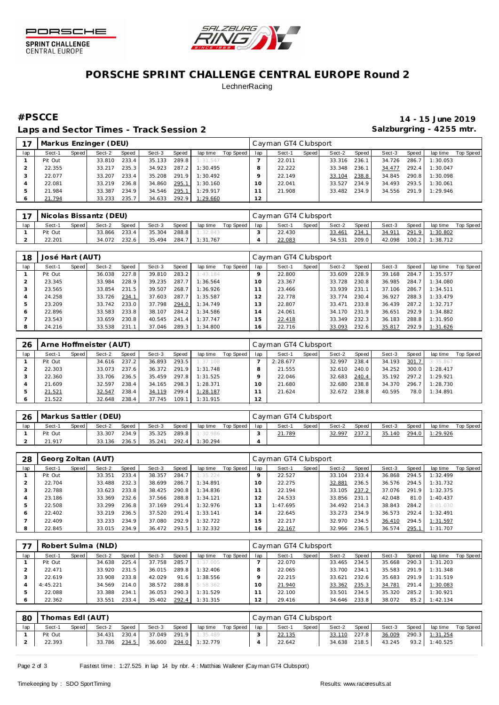



## **PORSCHE SPRINT CHALLENGE CENTRAL EUROPE Round 2 LechnerRacing**

Laps and Sector Times - Track Session 2 **Salzburgring - 4255 mtr.** Calzburgring - 4255 mtr.

**#PSCCE 14 - 15 June 2019**

|     |         |       | Markus Enzinger (DEU) |       |        |       |          |           |     | Cayman GT4 Clubsport |       |        |       |        |       |          |           |
|-----|---------|-------|-----------------------|-------|--------|-------|----------|-----------|-----|----------------------|-------|--------|-------|--------|-------|----------|-----------|
| lap | Sect-1  | Speed | Sect-2                | Speed | Sect-3 | Speed | lap time | Top Speed | lap | Sect-1               | Speed | Sect-2 | Speed | Sect-3 | Speed | lap time | Top Speed |
|     | Pit Out |       | 33.810                | 233.4 | 35.133 | 289.8 | 1:31.547 |           |     | 22.011               |       | 33.316 | 236.1 | 34.726 | 286.7 | 1:30.053 |           |
|     | 22.355  |       | 33.217                | 235.3 | 34.923 | 287.2 | 1:30.495 |           | 8   | 22.222               |       | 33.348 | 236.1 | 34.477 | 292.4 | 1:30.047 |           |
|     | 22.077  |       | 33.207                | 233.4 | 35.208 | 291.9 | 1:30.492 |           |     | 22.149               |       | 33.104 | 238.8 | 34.845 | 290.8 | 1:30.098 |           |
|     | 22.081  |       | 33.219                | 236.8 | 34.860 | 295.1 | 1:30.160 |           | 10  | 22.041               |       | 33.527 | 234.9 | 34.493 | 293.5 | 1:30.061 |           |
|     | 21.984  |       | 33.387                | 234.9 | 34.546 | 295.1 | 1:29.917 |           |     | 21.908               |       | 33.482 | 234.9 | 34.556 | 291.9 | 1:29.946 |           |
|     | 21.794  |       | 33.233                | 235.7 | 34.633 | 292.9 | 1:29.660 |           | 12  |                      |       |        |       |        |       |          |           |

|     |         |       | Nicolas Bissantz (DEU) |       |        |       |          |           |     | Cayman GT4 Clubsport |       |        |       |        |       |          |           |
|-----|---------|-------|------------------------|-------|--------|-------|----------|-----------|-----|----------------------|-------|--------|-------|--------|-------|----------|-----------|
| lap | Sect-1  | Speed | Sect-2                 | Speed | Sect-3 | Speed | lap time | Top Speed | lap | Sect-1               | Speed | Sect-2 | Speed | Sect-3 | Speed | lap time | Top Speed |
|     | Pit Out |       | 33.866                 | 233.4 | 35.304 | 288.8 | 1:32.843 |           |     | 22.430               |       | 33.461 | 234.1 | 34.911 | 291.9 | 1:30.802 |           |
|     | 22.201  |       | 34.072                 | 232.6 | 35.494 | 284.7 | 1:31.767 |           |     | 22.083               |       | 34.531 | 209.0 | 42.098 | 100.2 | 1:38.712 |           |

| 18  | José Hart (AUT) |       |        |       |        |       |          |           |     | Cayman GT4 Clubsport |       |        |       |        |       |          |           |
|-----|-----------------|-------|--------|-------|--------|-------|----------|-----------|-----|----------------------|-------|--------|-------|--------|-------|----------|-----------|
| lap | Sect-1          | Speed | Sect-2 | Speed | Sect-3 | Speed | lap time | Top Speed | lap | Sect-1               | Speed | Sect-2 | Speed | Sect-3 | Speed | lap time | Top Speed |
|     | Pit Out         |       | 36.038 | 227.8 | 39.810 | 283.2 | 1:43.184 |           |     | 22,800               |       | 33.609 | 228.9 | 39.168 | 284.7 | 1:35.577 |           |
|     | 23.345          |       | 33.984 | 228.9 | 39.235 | 287.7 | 1:36.564 |           | 10  | 23.367               |       | 33.728 | 230.8 | 36.985 | 284.7 | 1:34.080 |           |
|     | 23.565          |       | 33.854 | 231.5 | 39.507 | 268.7 | 1:36.926 |           |     | 23.466               |       | 33.939 | 231.1 | 37.106 | 286.7 | 1:34.511 |           |
|     | 24.258          |       | 33.726 | 234.1 | 37.603 | 287.7 | 1:35.587 |           | 12  | 22.778               |       | 33.774 | 230.4 | 36.927 | 288.3 | 1:33.479 |           |
| ь   | 23.209          |       | 33.742 | 233.0 | 37.798 | 294.0 | 1:34.749 |           | 3   | 22.807               |       | 33.471 | 233.8 | 36.439 | 287.2 | 1:32.717 |           |
| O   | 22.896          |       | 33.583 | 233.8 | 38.107 | 284.2 | 1:34.586 |           | 14  | 24.061               |       | 34.170 | 231.9 | 36.651 | 292.9 | 1:34.882 |           |
|     | 23.543          |       | 33.659 | 230.8 | 40.545 | 241.4 | 1:37.747 |           | 5   | 22.418               |       | 33.349 | 232.3 | 36.183 | 288.8 | 1:31.950 |           |
| 8   | 24.216          |       | 33.538 | 231.1 | 37.046 | 289.3 | 1:34.800 |           | 16  | 22.716               |       | 33.093 | 232.6 | 35.817 | 292.9 | 1:31.626 |           |

| 26  |         |       | Arne Hoffmeister (AUT) |       |        |       |          |           |          | Cayman GT4 Clubsport |       |        |       |        |       |          |           |
|-----|---------|-------|------------------------|-------|--------|-------|----------|-----------|----------|----------------------|-------|--------|-------|--------|-------|----------|-----------|
| lap | Sect-1  | Speed | Sect-2                 | Speed | Sect-3 | Speed | lap time | Top Speed | lap      | Sect-1               | Speed | Sect-2 | Speed | Sect-3 | Speed | lap time | Top Speed |
|     | Pit Out |       | 34.616                 | 237.2 | 36.893 | 293.5 | 1:37.108 |           |          | 2:28.677             |       | 32.997 | 238.4 | 34.193 | 301.7 | 3:35.867 |           |
|     | 22.303  |       | 33.073                 | 237.6 | 36.372 | 291.9 | 1:31.748 |           |          | 21.555               |       | 32.610 | 240.0 | 34.252 | 300.0 | 1:28.417 |           |
|     | 22.360  |       | 33.706                 | 236.5 | 35.459 | 297.8 | 1:31.525 |           |          | 22.046               |       | 32.683 | 240.4 | 35.192 | 297.2 | 1:29.921 |           |
|     | 21.609  |       | 32.597                 | 238.4 | 34.165 | 298.3 | 1:28.371 |           | $\Omega$ | 21.680               |       | 32.680 | 238.8 | 34.370 | 296.7 | 1:28.730 |           |
| 5   | 21.521  |       | 32.547                 | 238.4 | 34.119 | 299.4 | 1:28.187 |           |          | 21.624               |       | 32.672 | 238.8 | 40.595 | 78.0  | 1:34.891 |           |
| O   | 21.522  |       | 32.648                 | 238.4 | 37.745 | 109.1 | 1:31.915 |           | 12       |                      |       |        |       |        |       |          |           |

| 26  | Markus Sattler (DEU) |       |        |       |        |       |                |           |     | Cayman GT4 Clubsport |         |        |       |        |       |          |           |
|-----|----------------------|-------|--------|-------|--------|-------|----------------|-----------|-----|----------------------|---------|--------|-------|--------|-------|----------|-----------|
| lap | Sect-1               | Speed | Sect-2 | Speed | Sect-3 | Speed | lap time       | Top Speed | lan | Sect-1               | Speed I | Sect-2 | Speed | Sect-3 | Speed | lap time | Top Speed |
|     | Pit Out              |       | 33.307 | 234.9 | 35.325 | 289.8 | 1:30.986       |           |     | 21.789               |         | 32.997 | 237.2 | 35.140 | 294.0 | 1:29.926 |           |
|     | 21.917               |       | 33.136 | 236.5 | 35.241 |       | 292.4 1:30.294 |           |     |                      |         |        |       |        |       |          |           |

| 28  | Georg Zoltan (AUT) |       |        |       |        |       |          |           |     | Cayman GT4 Clubsport |       |        |       |        |       |          |           |
|-----|--------------------|-------|--------|-------|--------|-------|----------|-----------|-----|----------------------|-------|--------|-------|--------|-------|----------|-----------|
| lap | Sect-1             | Speed | Sect-2 | Speed | Sect-3 | Speed | lap time | Top Speed | lap | Sect-1               | Speed | Sect-2 | Speed | Sect-3 | Speed | lap time | Top Speed |
|     | Pit Out            |       | 33.351 | 233.4 | 38.357 | 284.7 | 1:35.224 |           |     | 22.527               |       | 33.104 | 233.4 | 36.868 | 294.5 | 1:32.499 |           |
|     | 22.704             |       | 33.488 | 232.3 | 38.699 | 286.7 | 1:34.891 |           | 10  | 22.275               |       | 32.881 | 236.5 | 36.576 | 294.5 | 1:31.732 |           |
|     | 22.788             |       | 33.623 | 233.8 | 38.425 | 290.8 | 1:34.836 |           |     | 22.194               |       | 33.105 | 237.2 | 37.076 | 291.9 | 1:32.375 |           |
| 4   | 23.186             |       | 33.369 | 232.6 | 37.566 | 288.8 | 1:34.121 |           | 12  | 24.533               |       | 33.856 | 231.1 | 42.048 | 81.0  | 1:40.437 |           |
| 5   | 22.508             |       | 33.299 | 236.8 | 37.169 | 291.4 | 1:32.976 |           | Ε.  | 1:47.695             |       | 34.492 | 214.3 | 38.843 | 284.2 | 3:01.030 |           |
| O   | 22.402             |       | 33.219 | 236.5 | 37.520 | 291.4 | 1:33.141 |           | 14  | 22.645               |       | 33.273 | 234.9 | 36.573 | 292.4 | 1:32.491 |           |
|     | 22.409             |       | 33.233 | 234.9 | 37.080 | 292.9 | 1:32.722 |           | 15  | 22.217               |       | 32.970 | 234.5 | 36.410 | 294.5 | 1:31.597 |           |
| 8   | 22.845             |       | 33.015 | 234.9 | 36.472 | 293.5 | 1:32.332 |           | 16  | 22.167               |       | 32.966 | 236.5 | 36.574 | 295.1 | 1:31.707 |           |

|     | Robert Sulma (NLD) |       |        |       |        |       |          |           |     | Cayman GT4 Clubsport |       |        |       |        |       |          |           |  |  |
|-----|--------------------|-------|--------|-------|--------|-------|----------|-----------|-----|----------------------|-------|--------|-------|--------|-------|----------|-----------|--|--|
| lap | Sect-1             | Speed | Sect-2 | Speed | Sect-3 | Speed | lap time | Top Speed | lap | Sect-1               | Speed | Sect-2 | Speed | Sect-3 | Speed | lap time | Top Speed |  |  |
|     | Pit Out            |       | 34.638 | 225.4 | 37.758 | 285.7 | 1:37.005 |           |     | 22.070               |       | 33.465 | 234.5 | 35.668 | 290.3 | 1:31.203 |           |  |  |
|     | 22.471             |       | 33.920 | 231.5 | 36.015 | 289.8 | 1:32.406 |           |     | 22.065               |       | 33.700 | 234.1 | 35.583 | 291.9 | 1:31.348 |           |  |  |
|     | 22.619             |       | 33.908 | 233.8 | 42.029 | 91.6  | 1:38.556 |           |     | 22.215               |       | 33.621 | 232.6 | 35.683 | 291.9 | 1:31.519 |           |  |  |
|     | 4:45.221           |       | 34.569 | 214.0 | 38.572 | 288.8 | 5:58.362 |           |     | 21.940               |       | 33.362 | 235.3 | 34.781 | 291.4 | 1:30.083 |           |  |  |
|     | 22.088             |       | 33.388 | 234.1 | 36.053 | 290.3 | 1:31.529 |           |     | 22.100               |       | 33.501 | 234.5 | 35.320 | 285.2 | 1:30.921 |           |  |  |
|     | 22.362             |       | 33.551 | 233.4 | 35.402 | 292.4 | 1:31.315 |           |     | 29.416               |       | 34.646 | 233.8 | 38.072 | 85.2  | 1:42.134 |           |  |  |

| 80  | [homas Edl (AUT) |       |        |       |        |       |                |           |     | Cayman GT4 Clubsport |       |        |       |        |       |          |           |  |  |
|-----|------------------|-------|--------|-------|--------|-------|----------------|-----------|-----|----------------------|-------|--------|-------|--------|-------|----------|-----------|--|--|
| lap | Sect-1           | Speed | Sect-2 | Speed | Sect-3 | Speed | lap time       | Top Speed | lap | Sect-1               | Speed | Sect-2 | Speed | Sect-3 | Speed | lap time | Top Speed |  |  |
|     | Pit Out          |       | 34.431 | 230.4 | 37.049 | 291.9 | 1:35.489       |           |     | 22.135               |       | 33.110 | 227.8 | 36.009 | 290.3 | 1:31.254 |           |  |  |
|     | 22.393           |       | 33.786 | 234.5 | 36.600 |       | 294.0 1:32.779 |           |     | 22.642               |       | 34.638 | 218.5 | 43.245 | 93.2  | 1:40.525 |           |  |  |

Page 2 of 3 Fastest time : 1:27.525 in lap 14 by nbr. 4 : Matthias Walkner (Cay man GT4 Clubsport)